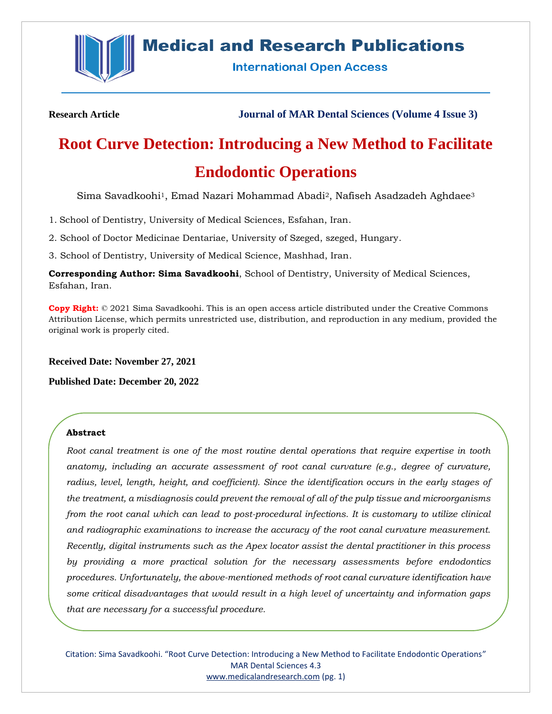

# **Medical and Research Publications**

**International Open Access** 

**Research Article Journal of MAR Dental Sciences (Volume 4 Issue 3)**

# **Root Curve Detection: Introducing a New Method to Facilitate Endodontic Operations**

Sima Savadkoohi <sup>1</sup>, Emad Nazari Mohammad Abadi2, Nafiseh Asadzadeh Aghdaee<sup>3</sup>

1. School of Dentistry, University of Medical Sciences, Esfahan, Iran.

2. School of Doctor Medicinae Dentariae, University of Szeged, szeged, Hungary.

3. School of Dentistry, University of Medical Science, Mashhad, Iran.

**Corresponding Author: Sima Savadkoohi**, School of Dentistry, University of Medical Sciences, Esfahan, Iran.

**Copy Right:** © 2021 Sima Savadkoohi. This is an open access article distributed under the Creative Commons Attribution License, which permits unrestricted use, distribution, and reproduction in any medium, provided the original work is properly cited.

**Received Date: November 27, 2021**

**Published Date: December 20, 2022**

## **Abstract**

*Root canal treatment is one of the most routine dental operations that require expertise in tooth anatomy, including an accurate assessment of root canal curvature (e.g., degree of curvature, radius, level, length, height, and coefficient). Since the identification occurs in the early stages of the treatment, a misdiagnosis could prevent the removal of all of the pulp tissue and microorganisms from the root canal which can lead to post-procedural infections. It is customary to utilize clinical and radiographic examinations to increase the accuracy of the root canal curvature measurement. Recently, digital instruments such as the Apex locator assist the dental practitioner in this process by providing a more practical solution for the necessary assessments before endodontics procedures. Unfortunately, the above-mentioned methods of root canal curvature identification have some critical disadvantages that would result in a high level of uncertainty and information gaps that are necessary for a successful procedure.*

Citation: Sima Savadkoohi. "Root Curve Detection: Introducing a New Method to Facilitate Endodontic Operations" MAR Dental Sciences 4.3 [www.medicalandresearch.com](http://www.medicalandresearch.com/) (pg. 1)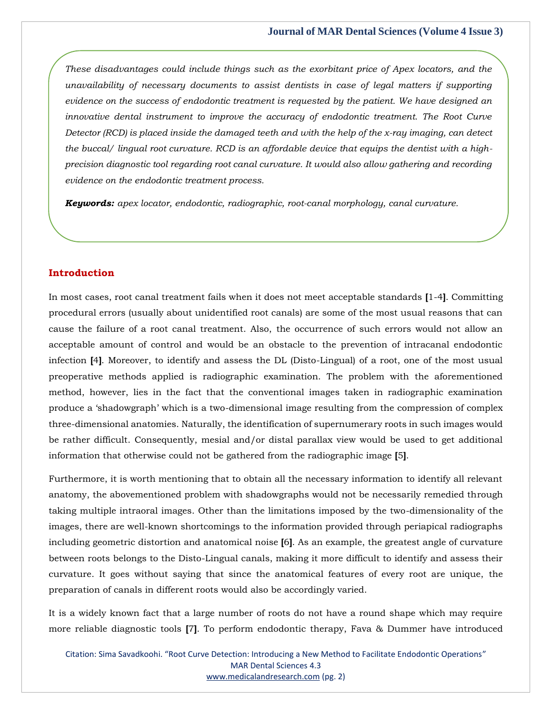*These disadvantages could include things such as the exorbitant price of Apex locators, and the unavailability of necessary documents to assist dentists in case of legal matters if supporting evidence on the success of endodontic treatment is requested by the patient. We have designed an innovative dental instrument to improve the accuracy of endodontic treatment. The Root Curve Detector (RCD) is placed inside the damaged teeth and with the help of the x-ray imaging, can detect the buccal/ lingual root curvature. RCD is an affordable device that equips the dentist with a highprecision diagnostic tool regarding root canal curvature. It would also allow gathering and recording evidence on the endodontic treatment process.*

*Keywords: apex locator, endodontic, radiographic, root-canal morphology, canal curvature.*

## **Introduction**

In most cases, root canal treatment fails when it does not meet acceptable standards **[**1-4**]**. Committing procedural errors (usually about unidentified root canals) are some of the most usual reasons that can cause the failure of a root canal treatment. Also, the occurrence of such errors would not allow an acceptable amount of control and would be an obstacle to the prevention of intracanal endodontic infection **[**4**]**. Moreover, to identify and assess the DL (Disto-Lingual) of a root, one of the most usual preoperative methods applied is radiographic examination. The problem with the aforementioned method, however, lies in the fact that the conventional images taken in radiographic examination produce a 'shadowgraph' which is a two-dimensional image resulting from the compression of complex three-dimensional anatomies. Naturally, the identification of supernumerary roots in such images would be rather difficult. Consequently, mesial and/or distal parallax view would be used to get additional information that otherwise could not be gathered from the radiographic image **[**5**]**.

Furthermore, it is worth mentioning that to obtain all the necessary information to identify all relevant anatomy, the abovementioned problem with shadowgraphs would not be necessarily remedied through taking multiple intraoral images. Other than the limitations imposed by the two-dimensionality of the images, there are well-known shortcomings to the information provided through periapical radiographs including geometric distortion and anatomical noise **[**6**]**. As an example, the greatest angle of curvature between roots belongs to the Disto-Lingual canals, making it more difficult to identify and assess their curvature. It goes without saying that since the anatomical features of every root are unique, the preparation of canals in different roots would also be accordingly varied.

It is a widely known fact that a large number of roots do not have a round shape which may require more reliable diagnostic tools **[**7**]**. To perform endodontic therapy, Fava & Dummer have introduced

Citation: Sima Savadkoohi. "Root Curve Detection: Introducing a New Method to Facilitate Endodontic Operations" MAR Dental Sciences 4.3 [www.medicalandresearch.com](http://www.medicalandresearch.com/) (pg. 2)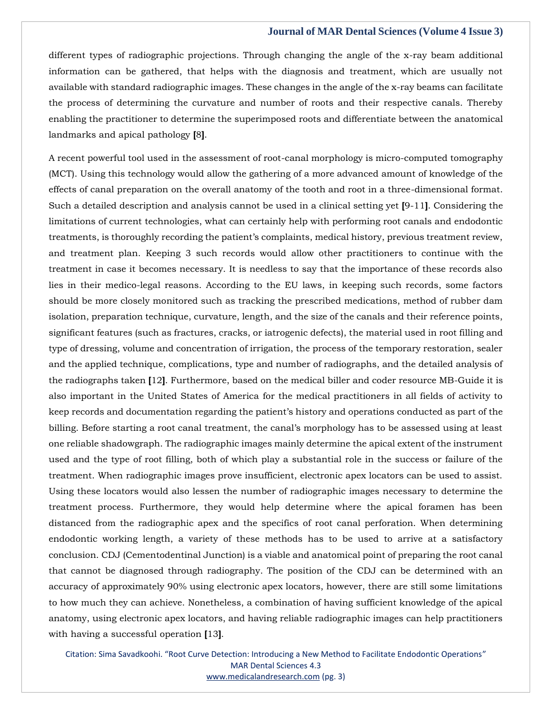different types of radiographic projections. Through changing the angle of the x-ray beam additional information can be gathered, that helps with the diagnosis and treatment, which are usually not available with standard radiographic images. These changes in the angle of the x-ray beams can facilitate the process of determining the curvature and number of roots and their respective canals. Thereby enabling the practitioner to determine the superimposed roots and differentiate between the anatomical landmarks and apical pathology **[**8**]**.

A recent powerful tool used in the assessment of root-canal morphology is micro-computed tomography (MCT). Using this technology would allow the gathering of a more advanced amount of knowledge of the effects of canal preparation on the overall anatomy of the tooth and root in a three-dimensional format. Such a detailed description and analysis cannot be used in a clinical setting yet **[**9-11**]**. Considering the limitations of current technologies, what can certainly help with performing root canals and endodontic treatments, is thoroughly recording the patient's complaints, medical history, previous treatment review, and treatment plan. Keeping 3 such records would allow other practitioners to continue with the treatment in case it becomes necessary. It is needless to say that the importance of these records also lies in their medico-legal reasons. According to the EU laws, in keeping such records, some factors should be more closely monitored such as tracking the prescribed medications, method of rubber dam isolation, preparation technique, curvature, length, and the size of the canals and their reference points, significant features (such as fractures, cracks, or iatrogenic defects), the material used in root filling and type of dressing, volume and concentration of irrigation, the process of the temporary restoration, sealer and the applied technique, complications, type and number of radiographs, and the detailed analysis of the radiographs taken **[**12**]**. Furthermore, based on the medical biller and coder resource MB-Guide it is also important in the United States of America for the medical practitioners in all fields of activity to keep records and documentation regarding the patient's history and operations conducted as part of the billing. Before starting a root canal treatment, the canal's morphology has to be assessed using at least one reliable shadowgraph. The radiographic images mainly determine the apical extent of the instrument used and the type of root filling, both of which play a substantial role in the success or failure of the treatment. When radiographic images prove insufficient, electronic apex locators can be used to assist. Using these locators would also lessen the number of radiographic images necessary to determine the treatment process. Furthermore, they would help determine where the apical foramen has been distanced from the radiographic apex and the specifics of root canal perforation. When determining endodontic working length, a variety of these methods has to be used to arrive at a satisfactory conclusion. CDJ (Cementodentinal Junction) is a viable and anatomical point of preparing the root canal that cannot be diagnosed through radiography. The position of the CDJ can be determined with an accuracy of approximately 90% using electronic apex locators, however, there are still some limitations to how much they can achieve. Nonetheless, a combination of having sufficient knowledge of the apical anatomy, using electronic apex locators, and having reliable radiographic images can help practitioners with having a successful operation **[**13**]**.

Citation: Sima Savadkoohi. "Root Curve Detection: Introducing a New Method to Facilitate Endodontic Operations" MAR Dental Sciences 4.3 [www.medicalandresearch.com](http://www.medicalandresearch.com/) (pg. 3)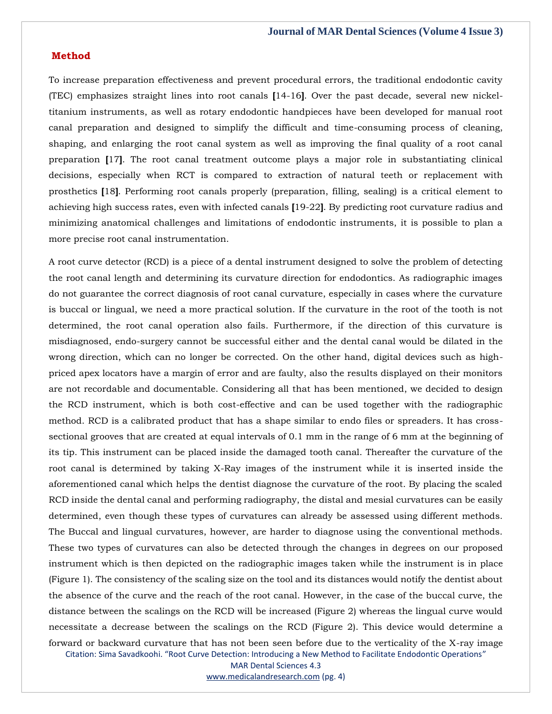#### **Method**

To increase preparation effectiveness and prevent procedural errors, the traditional endodontic cavity (TEC) emphasizes straight lines into root canals **[**14-16**]**. Over the past decade, several new nickeltitanium instruments, as well as rotary endodontic handpieces have been developed for manual root canal preparation and designed to simplify the difficult and time-consuming process of cleaning, shaping, and enlarging the root canal system as well as improving the final quality of a root canal preparation **[**17**]**. The root canal treatment outcome plays a major role in substantiating clinical decisions, especially when RCT is compared to extraction of natural teeth or replacement with prosthetics **[**18**]**. Performing root canals properly (preparation, filling, sealing) is a critical element to achieving high success rates, even with infected canals **[**19-22**]**. By predicting root curvature radius and minimizing anatomical challenges and limitations of endodontic instruments, it is possible to plan a more precise root canal instrumentation.

Citation: Sima Savadkoohi. "Root Curve Detection: Introducing a New Method to Facilitate Endodontic Operations" A root curve detector (RCD) is a piece of a dental instrument designed to solve the problem of detecting the root canal length and determining its curvature direction for endodontics. As radiographic images do not guarantee the correct diagnosis of root canal curvature, especially in cases where the curvature is buccal or lingual, we need a more practical solution. If the curvature in the root of the tooth is not determined, the root canal operation also fails. Furthermore, if the direction of this curvature is misdiagnosed, endo-surgery cannot be successful either and the dental canal would be dilated in the wrong direction, which can no longer be corrected. On the other hand, digital devices such as highpriced apex locators have a margin of error and are faulty, also the results displayed on their monitors are not recordable and documentable. Considering all that has been mentioned, we decided to design the RCD instrument, which is both cost-effective and can be used together with the radiographic method. RCD is a calibrated product that has a shape similar to endo files or spreaders. It has crosssectional grooves that are created at equal intervals of 0.1 mm in the range of 6 mm at the beginning of its tip. This instrument can be placed inside the damaged tooth canal. Thereafter the curvature of the root canal is determined by taking X-Ray images of the instrument while it is inserted inside the aforementioned canal which helps the dentist diagnose the curvature of the root. By placing the scaled RCD inside the dental canal and performing radiography, the distal and mesial curvatures can be easily determined, even though these types of curvatures can already be assessed using different methods. The Buccal and lingual curvatures, however, are harder to diagnose using the conventional methods. These two types of curvatures can also be detected through the changes in degrees on our proposed instrument which is then depicted on the radiographic images taken while the instrument is in place (Figure 1). The consistency of the scaling size on the tool and its distances would notify the dentist about the absence of the curve and the reach of the root canal. However, in the case of the buccal curve, the distance between the scalings on the RCD will be increased (Figure 2) whereas the lingual curve would necessitate a decrease between the scalings on the RCD (Figure 2). This device would determine a forward or backward curvature that has not been seen before due to the verticality of the X-ray image

MAR Dental Sciences 4.3

[www.medicalandresearch.com](http://www.medicalandresearch.com/) (pg. 4)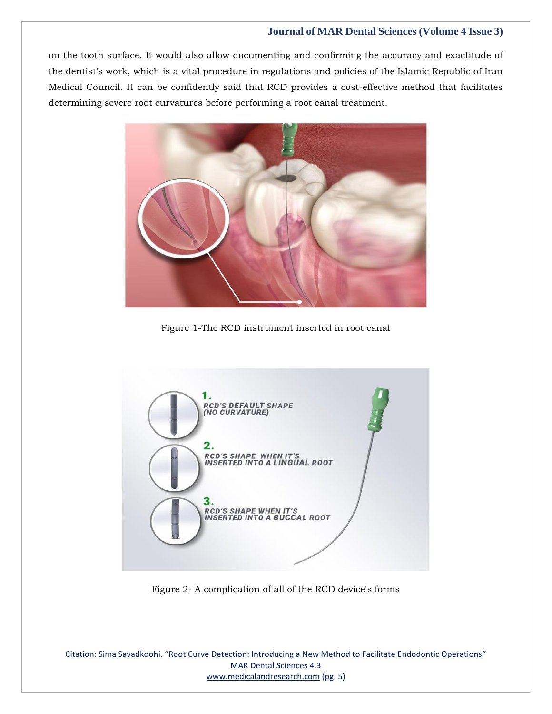on the tooth surface. It would also allow documenting and confirming the accuracy and exactitude of the dentist's work, which is a vital procedure in regulations and policies of the Islamic Republic of Iran Medical Council. It can be confidently said that RCD provides a cost-effective method that facilitates determining severe root curvatures before performing a root canal treatment.



Figure 1-The RCD instrument inserted in root canal



Figure 2- A complication of all of the RCD device's forms

Citation: Sima Savadkoohi. "Root Curve Detection: Introducing a New Method to Facilitate Endodontic Operations" MAR Dental Sciences 4.3 [www.medicalandresearch.com](http://www.medicalandresearch.com/) (pg. 5)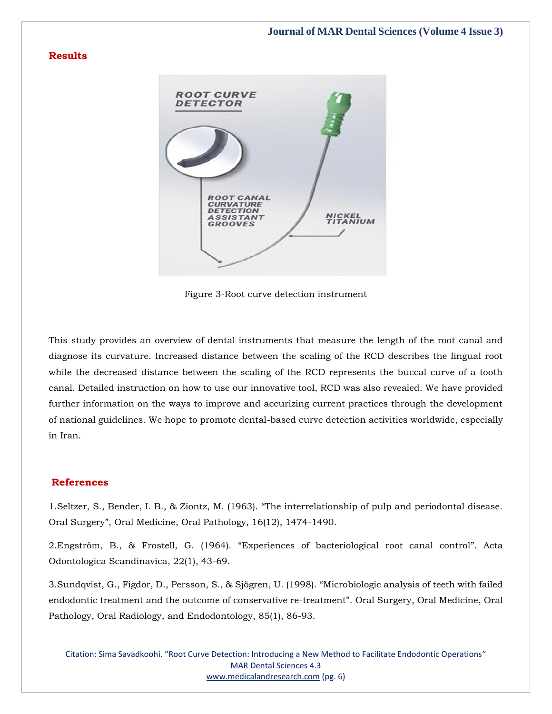# **Results**



Figure 3-Root curve detection instrument

This study provides an overview of dental instruments that measure the length of the root canal and diagnose its curvature. Increased distance between the scaling of the RCD describes the lingual root while the decreased distance between the scaling of the RCD represents the buccal curve of a tooth canal. Detailed instruction on how to use our innovative tool, RCD was also revealed. We have provided further information on the ways to improve and accurizing current practices through the development of national guidelines. We hope to promote dental-based curve detection activities worldwide, especially in Iran.

# **References**

1.Seltzer, S., Bender, I. B., & Ziontz, M. (1963). "[The interrelationship of pulp and periodontal disease.](https://www.google.com/search?q=The+interrelationship+of+pulp+and+periodontal+disease.+Oral+Surgery&oq=The+interrelationship+of+pulp+and+periodontal+disease.+Oral+Surgery&aqs=chrome..69i57.625j0j7&sourceid=chrome&ie=UTF-8)  Oral Surgery"[, Oral Medicine, Oral Pathology, 16\(12\), 1474-1490.](https://www.google.com/search?q=The+interrelationship+of+pulp+and+periodontal+disease.+Oral+Surgery&oq=The+interrelationship+of+pulp+and+periodontal+disease.+Oral+Surgery&aqs=chrome..69i57.625j0j7&sourceid=chrome&ie=UTF-8)

2.Engström, B., & Frostell, G. (1964). "[Experiences of bacteriological root canal control](https://www.google.com/search?q=Experiences+of+bacteriological+root+canal+control&sxsrf=AOaemvJAxkCXUGyToSBTsCRm94O3FYKwFw%3A1638455793695&ei=8dmoYaj3KYTC3LUPiMuUgAY&ved=0ahUKEwjos8C8q8X0AhUEIbcAHYglBWAQ4dUDCA4&uact=5&oq=Experiences+of+bacteriological+root+canal+control&gs_lcp=Cgdnd3Mtd2l6EAMyBwgjEOoCECcyBwgjEOoCECcyBwgjEOoCECcyBwgjEOoCECcyBwgjEOoCECcyBwgjEOoCECcyBwgjEOoCECcyBwgjEOoCECcyBwgjEOoCECcyBwgjEOoCECdKBAhBGABKBAhGGABQrgJYrgJg6wNoAXAAeACAAQCIAQCSAQCYAQCgAQGgAQKwAQrAAQE&sclient=gws-wiz)". Acta [Odontologica Scandinavica, 22\(1\), 43-69.](https://www.google.com/search?q=Experiences+of+bacteriological+root+canal+control&sxsrf=AOaemvJAxkCXUGyToSBTsCRm94O3FYKwFw%3A1638455793695&ei=8dmoYaj3KYTC3LUPiMuUgAY&ved=0ahUKEwjos8C8q8X0AhUEIbcAHYglBWAQ4dUDCA4&uact=5&oq=Experiences+of+bacteriological+root+canal+control&gs_lcp=Cgdnd3Mtd2l6EAMyBwgjEOoCECcyBwgjEOoCECcyBwgjEOoCECcyBwgjEOoCECcyBwgjEOoCECcyBwgjEOoCECcyBwgjEOoCECcyBwgjEOoCECcyBwgjEOoCECcyBwgjEOoCECdKBAhBGABKBAhGGABQrgJYrgJg6wNoAXAAeACAAQCIAQCSAQCYAQCgAQGgAQKwAQrAAQE&sclient=gws-wiz)

3[.Sundqvist, G., Figdor, D., Persson, S., & Sjögren, U. \(1998\).](https://www.google.com/search?q=Microbiologic+analysis+of+teeth+with+failed+endodontic+treatment+and+the+outcome+of+conservative+re-treatment&sxsrf=AOaemvLydm6HhDYFOaeqfKvPUYgYFd2_hw%3A1638455819713&ei=C9qoYdLuKsrjz7sPi9WVoA0&ved=0ahUKEwiSoPTIq8X0AhXK8XMBHYtqBdQQ4dUDCA4&uact=5&oq=Microbiologic+analysis+of+teeth+with+failed+endodontic+treatment+and+the+outcome+of+conservative+re-treatment&gs_lcp=Cgdnd3Mtd2l6EAMyBwgjEOoCECcyBwgjEOoCECcyBwgjEOoCECcyBwgjEOoCECcyBwgjEOoCECcyBwgjEOoCECcyBwgjEOoCECcyBwgjEOoCECcyBwgjEOoCECcyBwgjEOoCECdKBAhBGABKBAhGGABQgQlYgQlglAxoAXACeACAAQCIAQCSAQCYAQCgAQGgAQKwAQrAAQE&sclient=gws-wiz) "Microbiologic analysis of teeth with failed [endodontic treatment and the outcome of conservative re-treatment](https://www.google.com/search?q=Microbiologic+analysis+of+teeth+with+failed+endodontic+treatment+and+the+outcome+of+conservative+re-treatment&sxsrf=AOaemvLydm6HhDYFOaeqfKvPUYgYFd2_hw%3A1638455819713&ei=C9qoYdLuKsrjz7sPi9WVoA0&ved=0ahUKEwiSoPTIq8X0AhXK8XMBHYtqBdQQ4dUDCA4&uact=5&oq=Microbiologic+analysis+of+teeth+with+failed+endodontic+treatment+and+the+outcome+of+conservative+re-treatment&gs_lcp=Cgdnd3Mtd2l6EAMyBwgjEOoCECcyBwgjEOoCECcyBwgjEOoCECcyBwgjEOoCECcyBwgjEOoCECcyBwgjEOoCECcyBwgjEOoCECcyBwgjEOoCECcyBwgjEOoCECcyBwgjEOoCECdKBAhBGABKBAhGGABQgQlYgQlglAxoAXACeACAAQCIAQCSAQCYAQCgAQGgAQKwAQrAAQE&sclient=gws-wiz)". Oral Surgery, Oral Medicine, Oral [Pathology, Oral Radiology, and Endodontology, 85\(1\), 86-93.](https://www.google.com/search?q=Microbiologic+analysis+of+teeth+with+failed+endodontic+treatment+and+the+outcome+of+conservative+re-treatment&sxsrf=AOaemvLydm6HhDYFOaeqfKvPUYgYFd2_hw%3A1638455819713&ei=C9qoYdLuKsrjz7sPi9WVoA0&ved=0ahUKEwiSoPTIq8X0AhXK8XMBHYtqBdQQ4dUDCA4&uact=5&oq=Microbiologic+analysis+of+teeth+with+failed+endodontic+treatment+and+the+outcome+of+conservative+re-treatment&gs_lcp=Cgdnd3Mtd2l6EAMyBwgjEOoCECcyBwgjEOoCECcyBwgjEOoCECcyBwgjEOoCECcyBwgjEOoCECcyBwgjEOoCECcyBwgjEOoCECcyBwgjEOoCECcyBwgjEOoCECcyBwgjEOoCECdKBAhBGABKBAhGGABQgQlYgQlglAxoAXACeACAAQCIAQCSAQCYAQCgAQGgAQKwAQrAAQE&sclient=gws-wiz)

Citation: Sima Savadkoohi. "Root Curve Detection: Introducing a New Method to Facilitate Endodontic Operations" MAR Dental Sciences 4.3 [www.medicalandresearch.com](http://www.medicalandresearch.com/) (pg. 6)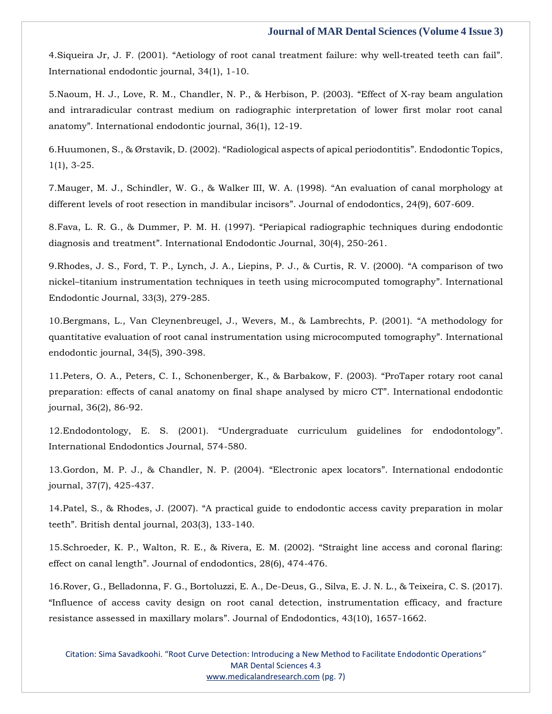4. Siqueira Jr, J. F. (2001). "[Aetiology of root canal treatment failure: why well](https://www.google.com/search?q=Aetiology+of+root+canal+treatment+failure%3A+why+well%E2%80%90treated+teeth+can+fail&sxsrf=AOaemvKo5W_kEfGYdfIGfzlqJN3KE2KRqA%3A1638455837831&ei=HdqoYfCIMpGq4t4PuP2O0A4&ved=0ahUKEwiwi8bRq8X0AhURldgFHbi-A-oQ4dUDCA4&uact=5&oq=Aetiology+of+root+canal+treatment+failure%3A+why+well%E2%80%90treated+teeth+can+fail&gs_lcp=Cgdnd3Mtd2l6EAMyBwgjEOoCECcyBwgjEOoCECcyBwgjEOoCECcyBwgjEOoCECcyBwgjEOoCECcyBwgjEOoCECcyBwgjEOoCECcyBwgjEOoCECcyBwgjEOoCECcyBwgjEOoCECdKBAhBGABKBAhGGABQyAVYyAVg7AdoAXAAeACAAQCIAQCSAQCYAQCgAQGgAQKwAQrAAQE&sclient=gws-wiz)-treated teeth can fail". [International endodontic journal, 34\(1\), 1-10.](https://www.google.com/search?q=Aetiology+of+root+canal+treatment+failure%3A+why+well%E2%80%90treated+teeth+can+fail&sxsrf=AOaemvKo5W_kEfGYdfIGfzlqJN3KE2KRqA%3A1638455837831&ei=HdqoYfCIMpGq4t4PuP2O0A4&ved=0ahUKEwiwi8bRq8X0AhURldgFHbi-A-oQ4dUDCA4&uact=5&oq=Aetiology+of+root+canal+treatment+failure%3A+why+well%E2%80%90treated+teeth+can+fail&gs_lcp=Cgdnd3Mtd2l6EAMyBwgjEOoCECcyBwgjEOoCECcyBwgjEOoCECcyBwgjEOoCECcyBwgjEOoCECcyBwgjEOoCECcyBwgjEOoCECcyBwgjEOoCECcyBwgjEOoCECcyBwgjEOoCECdKBAhBGABKBAhGGABQyAVYyAVg7AdoAXAAeACAAQCIAQCSAQCYAQCgAQGgAQKwAQrAAQE&sclient=gws-wiz)

5[.Naoum, H. J., Love, R. M., Chandler, N. P., & Herbison, P. \(2003\).](https://www.google.com/search?q=Effect+of+X-ray+beam+angulation+and+intraradicular+contrast+medium+on+radiographic+interpretation+of+lower+first+molar+root+canal+anatomy&sxsrf=AOaemvLUgPXgi29Lbbc9OkkvkEXH9YQl6g%3A1638455857343&ei=MdqoYfu8FOOE4t4Pwq6fSA&ved=0ahUKEwi7me3aq8X0AhVjgtgFHULXBwkQ4dUDCA4&uact=5&oq=Effect+of+X-ray+beam+angulation+and+intraradicular+contrast+medium+on+radiographic+interpretation+of+lower+first+molar+root+canal+anatomy&gs_lcp=Cgdnd3Mtd2l6EAMyBwgjEOoCECcyBwgjEOoCECcyBwgjEOoCECcyBwgjEOoCECcyBwgjEOoCECcyBwgjEOoCECcyBwgjEOoCECcyBwgjEOoCECcyBwgjEOoCECcyBwgjEOoCECdKBAhBGABKBAhGGABQwwVYwwVg0AdoAXACeACAAQCIAQCSAQCYAQCgAQGgAQKwAQrAAQE&sclient=gws-wiz) "Effect of X-ray beam angulation [and intraradicular contrast medium on radiographic interpretation of lower first molar root canal](https://www.google.com/search?q=Effect+of+X-ray+beam+angulation+and+intraradicular+contrast+medium+on+radiographic+interpretation+of+lower+first+molar+root+canal+anatomy&sxsrf=AOaemvLUgPXgi29Lbbc9OkkvkEXH9YQl6g%3A1638455857343&ei=MdqoYfu8FOOE4t4Pwq6fSA&ved=0ahUKEwi7me3aq8X0AhVjgtgFHULXBwkQ4dUDCA4&uact=5&oq=Effect+of+X-ray+beam+angulation+and+intraradicular+contrast+medium+on+radiographic+interpretation+of+lower+first+molar+root+canal+anatomy&gs_lcp=Cgdnd3Mtd2l6EAMyBwgjEOoCECcyBwgjEOoCECcyBwgjEOoCECcyBwgjEOoCECcyBwgjEOoCECcyBwgjEOoCECcyBwgjEOoCECcyBwgjEOoCECcyBwgjEOoCECcyBwgjEOoCECdKBAhBGABKBAhGGABQwwVYwwVg0AdoAXACeACAAQCIAQCSAQCYAQCgAQGgAQKwAQrAAQE&sclient=gws-wiz)  anatomy"[. International endodontic journal, 36\(1\), 12-19.](https://www.google.com/search?q=Effect+of+X-ray+beam+angulation+and+intraradicular+contrast+medium+on+radiographic+interpretation+of+lower+first+molar+root+canal+anatomy&sxsrf=AOaemvLUgPXgi29Lbbc9OkkvkEXH9YQl6g%3A1638455857343&ei=MdqoYfu8FOOE4t4Pwq6fSA&ved=0ahUKEwi7me3aq8X0AhVjgtgFHULXBwkQ4dUDCA4&uact=5&oq=Effect+of+X-ray+beam+angulation+and+intraradicular+contrast+medium+on+radiographic+interpretation+of+lower+first+molar+root+canal+anatomy&gs_lcp=Cgdnd3Mtd2l6EAMyBwgjEOoCECcyBwgjEOoCECcyBwgjEOoCECcyBwgjEOoCECcyBwgjEOoCECcyBwgjEOoCECcyBwgjEOoCECcyBwgjEOoCECcyBwgjEOoCECcyBwgjEOoCECdKBAhBGABKBAhGGABQwwVYwwVg0AdoAXACeACAAQCIAQCSAQCYAQCgAQGgAQKwAQrAAQE&sclient=gws-wiz)

6.Huumonen, S., & Ørstavik, D. (2002). "[Radiological aspects of apical periodontitis](https://www.google.com/search?q=Radiological+aspects+of+apical+periodontitis&sxsrf=AOaemvL3ql1xquAERqZ29ABM0VeR9vnokw%3A1638455877537&ei=RdqoYdCcIPjZz7sPjLOT0Ao&ved=0ahUKEwiQ073kq8X0AhX47HMBHYzZBKoQ4dUDCA4&uact=5&oq=Radiological+aspects+of+apical+periodontitis&gs_lcp=Cgdnd3Mtd2l6EAMyBggAEBYQHjIGCAAQFhAeMgYIABAWEB4yBggAEBYQHjoHCCMQ6gIQJ0oECEEYAEoECEYYAFD4BVj4BWCsCGgBcAB4AIAB2QGIAdkBkgEDMi0xmAEAoAEBoAECsAEKwAEB&sclient=gws-wiz)". Endodontic Topics, [1\(1\), 3-25.](https://www.google.com/search?q=Radiological+aspects+of+apical+periodontitis&sxsrf=AOaemvL3ql1xquAERqZ29ABM0VeR9vnokw%3A1638455877537&ei=RdqoYdCcIPjZz7sPjLOT0Ao&ved=0ahUKEwiQ073kq8X0AhX47HMBHYzZBKoQ4dUDCA4&uact=5&oq=Radiological+aspects+of+apical+periodontitis&gs_lcp=Cgdnd3Mtd2l6EAMyBggAEBYQHjIGCAAQFhAeMgYIABAWEB4yBggAEBYQHjoHCCMQ6gIQJ0oECEEYAEoECEYYAFD4BVj4BWCsCGgBcAB4AIAB2QGIAdkBkgEDMi0xmAEAoAEBoAECsAEKwAEB&sclient=gws-wiz)

7[.Mauger, M. J., Schindler, W. G., & Walker III, W. A. \(1998\).](https://www.google.com/search?q=An+evaluation+of+canal+morphology+at+different+levels+of+root+resection+in+mandibular+incisors&sxsrf=AOaemvKVRka87s3GTq_eSWzjHEObAa5qMQ%3A1638455898294&ei=WtqoYZK4EezB3LUPzdCHkAg&ved=0ahUKEwiSzbDuq8X0AhXsILcAHU3oAYIQ4dUDCA4&uact=5&oq=An+evaluation+of+canal+morphology+at+different+levels+of+root+resection+in+mandibular+incisors&gs_lcp=Cgdnd3Mtd2l6EAMyBAgAEB46BwgjEOoCECdKBAhBGABKBAhGGABQ6QVY6QVggAhoAXACeACAAeMBiAHjAZIBAzItMZgBAKABAaABArABCsABAQ&sclient=gws-wiz) "An evaluation of canal morphology at [different levels of root resection in mandibular incisors](https://www.google.com/search?q=An+evaluation+of+canal+morphology+at+different+levels+of+root+resection+in+mandibular+incisors&sxsrf=AOaemvKVRka87s3GTq_eSWzjHEObAa5qMQ%3A1638455898294&ei=WtqoYZK4EezB3LUPzdCHkAg&ved=0ahUKEwiSzbDuq8X0AhXsILcAHU3oAYIQ4dUDCA4&uact=5&oq=An+evaluation+of+canal+morphology+at+different+levels+of+root+resection+in+mandibular+incisors&gs_lcp=Cgdnd3Mtd2l6EAMyBAgAEB46BwgjEOoCECdKBAhBGABKBAhGGABQ6QVY6QVggAhoAXACeACAAeMBiAHjAZIBAzItMZgBAKABAaABArABCsABAQ&sclient=gws-wiz)". Journal of endodontics, 24(9), 607-609.

8.Fava, L. R. G., & Dummer, P. M. H. (1997). "[Periapical radiographic techniques during endodontic](https://www.google.com/search?q=Periapical+radiographic+techniques+during+endodontic+diagnosis+and+treatment&sxsrf=AOaemvJ6WzM8qViQS4eJ9ZP85Kb1MLhBhg%3A1638455917870&ei=bdqoYfDENNPA3LUP9NqMEA&ved=0ahUKEwiwr9v3q8X0AhVTILcAHXQtAwIQ4dUDCA4&uact=5&oq=Periapical+radiographic+techniques+during+endodontic+diagnosis+and+treatment&gs_lcp=Cgdnd3Mtd2l6EAM6BwgjEOoCECdKBAhBGABKBAhGGABQwwZYwwZgjgloAXAAeACAAdcBiAHXAZIBAzItMZgBAKABAaABArABCsABAQ&sclient=gws-wiz)  diagnosis and treatment"[. International Endodontic Journal, 30\(4\), 250-261.](https://www.google.com/search?q=Periapical+radiographic+techniques+during+endodontic+diagnosis+and+treatment&sxsrf=AOaemvJ6WzM8qViQS4eJ9ZP85Kb1MLhBhg%3A1638455917870&ei=bdqoYfDENNPA3LUP9NqMEA&ved=0ahUKEwiwr9v3q8X0AhVTILcAHXQtAwIQ4dUDCA4&uact=5&oq=Periapical+radiographic+techniques+during+endodontic+diagnosis+and+treatment&gs_lcp=Cgdnd3Mtd2l6EAM6BwgjEOoCECdKBAhBGABKBAhGGABQwwZYwwZgjgloAXAAeACAAdcBiAHXAZIBAzItMZgBAKABAaABArABCsABAQ&sclient=gws-wiz)

9[.Rhodes, J. S., Ford, T. P., Lynch, J. A., Liepins, P. J., & Curtis, R. V. \(2000\).](https://www.google.com/search?q=A+comparison+of+two+nickel%E2%80%93titanium+instrumentation+techniques+in+teeth+using+microcomputed+tomography&sxsrf=AOaemvKevTIn4fhreqjZTWbqMqZKUtY0WQ%3A1638455936864&ei=gNqoYZ2rNPrB3LUP65G40Ag&ved=0ahUKEwid6-KArMX0AhX6ILcAHesIDooQ4dUDCA4&uact=5&oq=A+comparison+of+two+nickel%E2%80%93titanium+instrumentation+techniques+in+teeth+using+microcomputed+tomography&gs_lcp=Cgdnd3Mtd2l6EAMyBwgjEOoCECcyBwgjEOoCECcyBwgjEOoCECcyBwgjEOoCECcyBwgjEOoCECcyBwgjEOoCECcyBwgjEOoCECcyBwgjEOoCECcyBwgjEOoCECcyBwgjEOoCECdKBAhBGABKBAhGGABQqQVYqQVgjwdoAXAAeACAAQCIAQCSAQCYAQCgAQGgAQKwAQrAAQE&sclient=gws-wiz) "A comparison of two nickel–[titanium instrumentation techniques in teeth using microcomputed tomography](https://www.google.com/search?q=A+comparison+of+two+nickel%E2%80%93titanium+instrumentation+techniques+in+teeth+using+microcomputed+tomography&sxsrf=AOaemvKevTIn4fhreqjZTWbqMqZKUtY0WQ%3A1638455936864&ei=gNqoYZ2rNPrB3LUP65G40Ag&ved=0ahUKEwid6-KArMX0AhX6ILcAHesIDooQ4dUDCA4&uact=5&oq=A+comparison+of+two+nickel%E2%80%93titanium+instrumentation+techniques+in+teeth+using+microcomputed+tomography&gs_lcp=Cgdnd3Mtd2l6EAMyBwgjEOoCECcyBwgjEOoCECcyBwgjEOoCECcyBwgjEOoCECcyBwgjEOoCECcyBwgjEOoCECcyBwgjEOoCECcyBwgjEOoCECcyBwgjEOoCECcyBwgjEOoCECdKBAhBGABKBAhGGABQqQVYqQVgjwdoAXAAeACAAQCIAQCSAQCYAQCgAQGgAQKwAQrAAQE&sclient=gws-wiz)". International [Endodontic Journal, 33\(3\), 279-285.](https://www.google.com/search?q=A+comparison+of+two+nickel%E2%80%93titanium+instrumentation+techniques+in+teeth+using+microcomputed+tomography&sxsrf=AOaemvKevTIn4fhreqjZTWbqMqZKUtY0WQ%3A1638455936864&ei=gNqoYZ2rNPrB3LUP65G40Ag&ved=0ahUKEwid6-KArMX0AhX6ILcAHesIDooQ4dUDCA4&uact=5&oq=A+comparison+of+two+nickel%E2%80%93titanium+instrumentation+techniques+in+teeth+using+microcomputed+tomography&gs_lcp=Cgdnd3Mtd2l6EAMyBwgjEOoCECcyBwgjEOoCECcyBwgjEOoCECcyBwgjEOoCECcyBwgjEOoCECcyBwgjEOoCECcyBwgjEOoCECcyBwgjEOoCECcyBwgjEOoCECcyBwgjEOoCECdKBAhBGABKBAhGGABQqQVYqQVgjwdoAXAAeACAAQCIAQCSAQCYAQCgAQGgAQKwAQrAAQE&sclient=gws-wiz)

10[.Bergmans, L., Van Cleynenbreugel, J., Wevers, M., & Lambrechts, P. \(2001\).](https://www.google.com/search?q=A+methodology+for+quantitative+evaluation+of+root+canal+instrumentation+using+microcomputed+tomography&sxsrf=AOaemvIfl8fAqAELlSvMb5MHt9FKJhRJBw%3A1638455958127&ei=ltqoYdCqB7Pgz7sP3riKqAw&ved=0ahUKEwjQzfSKrMX0AhUz8HMBHV6cAsUQ4dUDCA4&uact=5&oq=A+methodology+for+quantitative+evaluation+of+root+canal+instrumentation+using+microcomputed+tomography&gs_lcp=Cgdnd3Mtd2l6EAMyBwgjEOoCECcyBwgjEOoCECcyBwgjEOoCECcyBwgjEOoCECcyBwgjEOoCECcyBwgjEOoCECcyBwgjEOoCECcyBwgjEOoCECcyBwgjEOoCECcyBwgjEOoCECdKBAhBGABKBAhGGABQ_wVY_wVgvAhoAXAAeACAAQCIAQCSAQCYAQCgAQGgAQKwAQrAAQE&sclient=gws-wiz) "A methodology for [quantitative evaluation of root canal instrumentation using microcomputed tomography](https://www.google.com/search?q=A+methodology+for+quantitative+evaluation+of+root+canal+instrumentation+using+microcomputed+tomography&sxsrf=AOaemvIfl8fAqAELlSvMb5MHt9FKJhRJBw%3A1638455958127&ei=ltqoYdCqB7Pgz7sP3riKqAw&ved=0ahUKEwjQzfSKrMX0AhUz8HMBHV6cAsUQ4dUDCA4&uact=5&oq=A+methodology+for+quantitative+evaluation+of+root+canal+instrumentation+using+microcomputed+tomography&gs_lcp=Cgdnd3Mtd2l6EAMyBwgjEOoCECcyBwgjEOoCECcyBwgjEOoCECcyBwgjEOoCECcyBwgjEOoCECcyBwgjEOoCECcyBwgjEOoCECcyBwgjEOoCECcyBwgjEOoCECcyBwgjEOoCECdKBAhBGABKBAhGGABQ_wVY_wVgvAhoAXAAeACAAQCIAQCSAQCYAQCgAQGgAQKwAQrAAQE&sclient=gws-wiz)". International [endodontic journal, 34\(5\), 390-398.](https://www.google.com/search?q=A+methodology+for+quantitative+evaluation+of+root+canal+instrumentation+using+microcomputed+tomography&sxsrf=AOaemvIfl8fAqAELlSvMb5MHt9FKJhRJBw%3A1638455958127&ei=ltqoYdCqB7Pgz7sP3riKqAw&ved=0ahUKEwjQzfSKrMX0AhUz8HMBHV6cAsUQ4dUDCA4&uact=5&oq=A+methodology+for+quantitative+evaluation+of+root+canal+instrumentation+using+microcomputed+tomography&gs_lcp=Cgdnd3Mtd2l6EAMyBwgjEOoCECcyBwgjEOoCECcyBwgjEOoCECcyBwgjEOoCECcyBwgjEOoCECcyBwgjEOoCECcyBwgjEOoCECcyBwgjEOoCECcyBwgjEOoCECcyBwgjEOoCECdKBAhBGABKBAhGGABQ_wVY_wVgvAhoAXAAeACAAQCIAQCSAQCYAQCgAQGgAQKwAQrAAQE&sclient=gws-wiz)

11[.Peters, O. A., Peters, C. I., Schonenberger, K., & Barbakow, F. \(2003\).](https://www.google.com/search?q=ProTaper+rotary+root+canal+preparation%3A+effects+of+canal+anatomy+on+final+shape+analysed+by+micro+CT&sxsrf=AOaemvJpc4ykjqLcZf1_6pyQwUNt_Gk_4Q%3A1638455977929&ei=qdqoYeiQON_C3LUP8a-GoA8&ved=0ahUKEwioia2UrMX0AhVfIbcAHfGXAfQQ4dUDCA4&uact=5&oq=ProTaper+rotary+root+canal+preparation%3A+effects+of+canal+anatomy+on+final+shape+analysed+by+micro+CT&gs_lcp=Cgdnd3Mtd2l6EAM6BwgjEOoCECdKBAhBGABKBAhGGABQ8gVY8gVgvwhoAXAAeACAAa0CiAGtApIBAzMtMZgBAKABAaABArABCsABAQ&sclient=gws-wiz) "ProTaper rotary root canal [preparation: effects of canal anatomy on final shape analysed by micro CT](https://www.google.com/search?q=ProTaper+rotary+root+canal+preparation%3A+effects+of+canal+anatomy+on+final+shape+analysed+by+micro+CT&sxsrf=AOaemvJpc4ykjqLcZf1_6pyQwUNt_Gk_4Q%3A1638455977929&ei=qdqoYeiQON_C3LUP8a-GoA8&ved=0ahUKEwioia2UrMX0AhVfIbcAHfGXAfQQ4dUDCA4&uact=5&oq=ProTaper+rotary+root+canal+preparation%3A+effects+of+canal+anatomy+on+final+shape+analysed+by+micro+CT&gs_lcp=Cgdnd3Mtd2l6EAM6BwgjEOoCECdKBAhBGABKBAhGGABQ8gVY8gVgvwhoAXAAeACAAa0CiAGtApIBAzMtMZgBAKABAaABArABCsABAQ&sclient=gws-wiz)". International endodontic [journal, 36\(2\), 86-92.](https://www.google.com/search?q=ProTaper+rotary+root+canal+preparation%3A+effects+of+canal+anatomy+on+final+shape+analysed+by+micro+CT&sxsrf=AOaemvJpc4ykjqLcZf1_6pyQwUNt_Gk_4Q%3A1638455977929&ei=qdqoYeiQON_C3LUP8a-GoA8&ved=0ahUKEwioia2UrMX0AhVfIbcAHfGXAfQQ4dUDCA4&uact=5&oq=ProTaper+rotary+root+canal+preparation%3A+effects+of+canal+anatomy+on+final+shape+analysed+by+micro+CT&gs_lcp=Cgdnd3Mtd2l6EAM6BwgjEOoCECdKBAhBGABKBAhGGABQ8gVY8gVgvwhoAXAAeACAAa0CiAGtApIBAzMtMZgBAKABAaABArABCsABAQ&sclient=gws-wiz)

12.Endodontology, E. S. (2001). "[Undergraduate curriculum guidelines for endodontology](https://www.google.com/search?q=Undergraduate+curriculum+guidelines+for+endodontology&sxsrf=AOaemvLibZNvnE3ivPG00tajhuUZyYyo6g%3A1638456000388&ei=wNqoYdH-FsfZz7sPopm_oAc&ved=0ahUKEwjR3oefrMX0AhXH7HMBHaLMD3QQ4dUDCA4&uact=5&oq=Undergraduate+curriculum+guidelines+for+endodontology&gs_lcp=Cgdnd3Mtd2l6EAMyBggAEBYQHjoHCCMQ6gIQJ0oECEEYAEoECEYYAFDgBVjgBWDvB2gBcAB4AIAB6AGIAegBkgEDMi0xmAEAoAEBoAECsAEKwAEB&sclient=gws-wiz)". [International Endodontics Journal, 574-580.](https://www.google.com/search?q=Undergraduate+curriculum+guidelines+for+endodontology&sxsrf=AOaemvLibZNvnE3ivPG00tajhuUZyYyo6g%3A1638456000388&ei=wNqoYdH-FsfZz7sPopm_oAc&ved=0ahUKEwjR3oefrMX0AhXH7HMBHaLMD3QQ4dUDCA4&uact=5&oq=Undergraduate+curriculum+guidelines+for+endodontology&gs_lcp=Cgdnd3Mtd2l6EAMyBggAEBYQHjoHCCMQ6gIQJ0oECEEYAEoECEYYAFDgBVjgBWDvB2gBcAB4AIAB6AGIAegBkgEDMi0xmAEAoAEBoAECsAEKwAEB&sclient=gws-wiz)

13[.Gordon, M. P. J., & Chandler, N. P. \(2004\).](https://www.google.com/search?q=Electronic+apex+locators&sxsrf=AOaemvLLERApBy-IrmE7LSXDKdK7qL2E1g%3A1638456020964&ei=1NqoYYauOuuo3LUPgd-E4AQ&ved=0ahUKEwiG6O-orMX0AhVrFLcAHYEvAUwQ4dUDCA4&uact=5&oq=Electronic+apex+locators&gs_lcp=Cgdnd3Mtd2l6EAMyBQgAEIAEMgUIABCABDIGCAAQFhAeMgYIABAWEB4yBggAEBYQHjIGCAAQFhAeMgYIABAWEB4yBggAEBYQHjIGCAAQFhAeMgYIABAWEB46BwgjEOoCECdKBAhBGABKBAhGGABQmgVYmgVgrwdoAXAAeACAAcsBiAHLAZIBAzItMZgBAKABAaABArABCsABAQ&sclient=gws-wiz) "Electronic apex locators". International endodontic [journal, 37\(7\), 425-437.](https://www.google.com/search?q=Electronic+apex+locators&sxsrf=AOaemvLLERApBy-IrmE7LSXDKdK7qL2E1g%3A1638456020964&ei=1NqoYYauOuuo3LUPgd-E4AQ&ved=0ahUKEwiG6O-orMX0AhVrFLcAHYEvAUwQ4dUDCA4&uact=5&oq=Electronic+apex+locators&gs_lcp=Cgdnd3Mtd2l6EAMyBQgAEIAEMgUIABCABDIGCAAQFhAeMgYIABAWEB4yBggAEBYQHjIGCAAQFhAeMgYIABAWEB4yBggAEBYQHjIGCAAQFhAeMgYIABAWEB46BwgjEOoCECdKBAhBGABKBAhGGABQmgVYmgVgrwdoAXAAeACAAcsBiAHLAZIBAzItMZgBAKABAaABArABCsABAQ&sclient=gws-wiz)

14.Patel, S., & Rhodes, J. (2007). "[A practical guide to endodontic access cavity preparation in molar](https://www.google.com/search?q=A+practical+guide+to+endodontic+access+cavity+preparation+in+molar+teeth&sxsrf=AOaemvLtzq5yjzWRPvcO9nva7hGSb50EKQ%3A1638456059502&ei=-9qoYYiVHp6RseMPs7WoSA&ved=0ahUKEwjI_p-7rMX0AhWeSGwGHbMaCgkQ4dUDCA4&uact=5&oq=A+practical+guide+to+endodontic+access+cavity+preparation+in+molar+teeth&gs_lcp=Cgdnd3Mtd2l6EAMyBwgjEOoCECcyBwgjEOoCECcyBwgjEOoCECcyBwgjEOoCECcyBwgjEOoCECcyBwgjEOoCECcyBwgjEOoCECcyBwgjEOoCECcyBwgjEOoCECcyBwgjEOoCECdKBAhBGABKBAhGGABQ5wdY5wdggghoAXACeACAAQCIAQCSAQCYAQCgAQGgAQKwAQrAAQE&sclient=gws-wiz)  teeth"[. British dental journal, 203\(3\), 133-140.](https://www.google.com/search?q=A+practical+guide+to+endodontic+access+cavity+preparation+in+molar+teeth&sxsrf=AOaemvLtzq5yjzWRPvcO9nva7hGSb50EKQ%3A1638456059502&ei=-9qoYYiVHp6RseMPs7WoSA&ved=0ahUKEwjI_p-7rMX0AhWeSGwGHbMaCgkQ4dUDCA4&uact=5&oq=A+practical+guide+to+endodontic+access+cavity+preparation+in+molar+teeth&gs_lcp=Cgdnd3Mtd2l6EAMyBwgjEOoCECcyBwgjEOoCECcyBwgjEOoCECcyBwgjEOoCECcyBwgjEOoCECcyBwgjEOoCECcyBwgjEOoCECcyBwgjEOoCECcyBwgjEOoCECcyBwgjEOoCECdKBAhBGABKBAhGGABQ5wdY5wdggghoAXACeACAAQCIAQCSAQCYAQCgAQGgAQKwAQrAAQE&sclient=gws-wiz)

15[.Schroeder, K. P., Walton, R. E., & Rivera, E. M. \(2002\).](https://www.google.com/search?q=Straight+line+access+and+coronal+flaring%3A+effect+on+canal+length&sxsrf=AOaemvI1P6CiqYWSslUHYdyc39HeAhVBxw%3A1638456077833&ei=DduoYd-rMsGTseMPkb2U6AM&ved=0ahUKEwif5v7DrMX0AhXBSWwGHZEeBT0Q4dUDCA4&uact=5&oq=Straight+line+access+and+coronal+flaring%3A+effect+on+canal+length&gs_lcp=Cgdnd3Mtd2l6EAMyBggAEBYQHjoHCCMQ6gIQJ0oECEEYAEoECEYYAFCHBliHBmCqCGgBcAJ4AIABzgGIAc4BkgEDMi0xmAEAoAEBoAECsAEKwAEB&sclient=gws-wiz) "Straight line access and coronal flaring: effect on canal length"[. Journal of endodontics, 28\(6\), 474-476.](https://www.google.com/search?q=Straight+line+access+and+coronal+flaring%3A+effect+on+canal+length&sxsrf=AOaemvI1P6CiqYWSslUHYdyc39HeAhVBxw%3A1638456077833&ei=DduoYd-rMsGTseMPkb2U6AM&ved=0ahUKEwif5v7DrMX0AhXBSWwGHZEeBT0Q4dUDCA4&uact=5&oq=Straight+line+access+and+coronal+flaring%3A+effect+on+canal+length&gs_lcp=Cgdnd3Mtd2l6EAMyBggAEBYQHjoHCCMQ6gIQJ0oECEEYAEoECEYYAFCHBliHBmCqCGgBcAJ4AIABzgGIAc4BkgEDMi0xmAEAoAEBoAECsAEKwAEB&sclient=gws-wiz)

16[.Rover, G., Belladonna, F. G., Bortoluzzi, E. A., De-Deus, G., Silva, E. J. N. L., & Teixeira, C. S. \(2017\).](https://www.google.com/search?q=Influence+of+access+cavity+design+on+root+canal+detection%2C+instrumentation+efficacy%2C+and+fracture+resistance+assessed+in+maxillary+molars&sxsrf=AOaemvIDqpR7JC1Vw9mAvTciLhaxuApabg%3A1638456099728&ei=I9uoYZLzK4eYseMPsuOS4AM&ved=0ahUKEwjSkLfOrMX0AhUHTGwGHbKxBDwQ4dUDCA4&uact=5&oq=Influence+of+access+cavity+design+on+root+canal+detection%2C+instrumentation+efficacy%2C+and+fracture+resistance+assessed+in+maxillary+molars&gs_lcp=Cgdnd3Mtd2l6EAMyBwgjEOoCECcyBwgjEOoCECcyBwgjEOoCECcyBwgjEOoCECcyBwgjEOoCECcyBwgjEOoCECcyBwgjEOoCECcyBwgjEOoCECcyBwgjEOoCECcyBwgjEOoCECdKBAhBGABKBAhGGABQgQZYgQZgyAhoAXACeACAAQCIAQCSAQCYAQCgAQGgAQKwAQrAAQE&sclient=gws-wiz)  "[Influence of access cavity design on root canal detection, instrumentation efficacy, and fracture](https://www.google.com/search?q=Influence+of+access+cavity+design+on+root+canal+detection%2C+instrumentation+efficacy%2C+and+fracture+resistance+assessed+in+maxillary+molars&sxsrf=AOaemvIDqpR7JC1Vw9mAvTciLhaxuApabg%3A1638456099728&ei=I9uoYZLzK4eYseMPsuOS4AM&ved=0ahUKEwjSkLfOrMX0AhUHTGwGHbKxBDwQ4dUDCA4&uact=5&oq=Influence+of+access+cavity+design+on+root+canal+detection%2C+instrumentation+efficacy%2C+and+fracture+resistance+assessed+in+maxillary+molars&gs_lcp=Cgdnd3Mtd2l6EAMyBwgjEOoCECcyBwgjEOoCECcyBwgjEOoCECcyBwgjEOoCECcyBwgjEOoCECcyBwgjEOoCECcyBwgjEOoCECcyBwgjEOoCECcyBwgjEOoCECcyBwgjEOoCECdKBAhBGABKBAhGGABQgQZYgQZgyAhoAXACeACAAQCIAQCSAQCYAQCgAQGgAQKwAQrAAQE&sclient=gws-wiz)  resistance assessed in maxillary molars"[. Journal of Endodontics, 43\(10\), 1657-1662.](https://www.google.com/search?q=Influence+of+access+cavity+design+on+root+canal+detection%2C+instrumentation+efficacy%2C+and+fracture+resistance+assessed+in+maxillary+molars&sxsrf=AOaemvIDqpR7JC1Vw9mAvTciLhaxuApabg%3A1638456099728&ei=I9uoYZLzK4eYseMPsuOS4AM&ved=0ahUKEwjSkLfOrMX0AhUHTGwGHbKxBDwQ4dUDCA4&uact=5&oq=Influence+of+access+cavity+design+on+root+canal+detection%2C+instrumentation+efficacy%2C+and+fracture+resistance+assessed+in+maxillary+molars&gs_lcp=Cgdnd3Mtd2l6EAMyBwgjEOoCECcyBwgjEOoCECcyBwgjEOoCECcyBwgjEOoCECcyBwgjEOoCECcyBwgjEOoCECcyBwgjEOoCECcyBwgjEOoCECcyBwgjEOoCECcyBwgjEOoCECdKBAhBGABKBAhGGABQgQZYgQZgyAhoAXACeACAAQCIAQCSAQCYAQCgAQGgAQKwAQrAAQE&sclient=gws-wiz)

Citation: Sima Savadkoohi. "Root Curve Detection: Introducing a New Method to Facilitate Endodontic Operations" MAR Dental Sciences 4.3 [www.medicalandresearch.com](http://www.medicalandresearch.com/) (pg. 7)